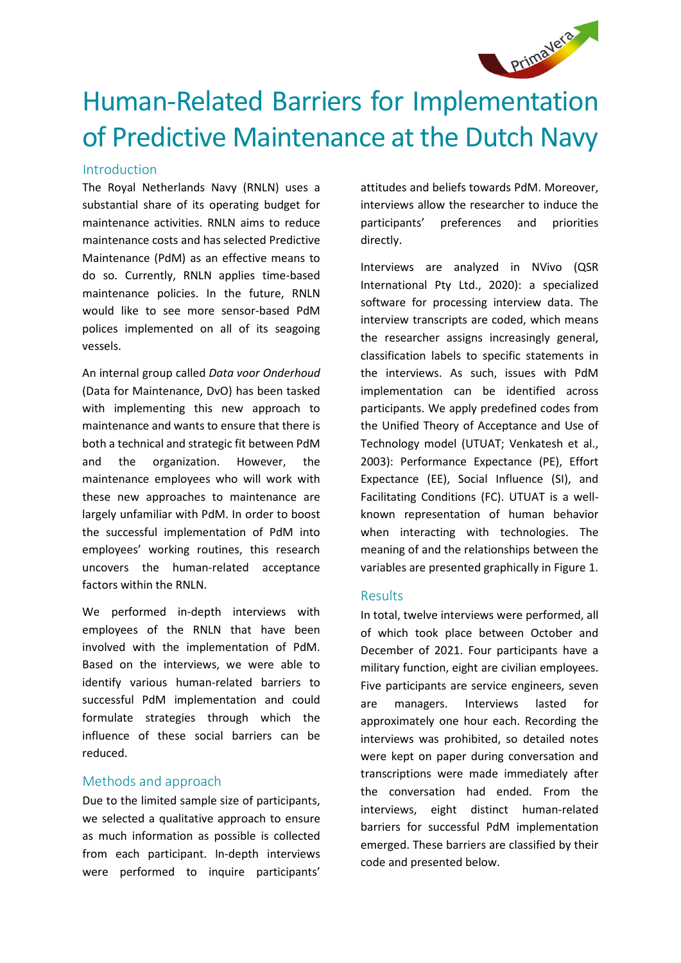

# Human-Related Barriers for Implementation of Predictive Maintenance at the Dutch Navy

#### Introduction

The Royal Netherlands Navy (RNLN) uses a substantial share of its operating budget for maintenance activities. RNLN aims to reduce maintenance costs and has selected Predictive Maintenance (PdM) as an effective means to do so. Currently, RNLN applies time-based maintenance policies. In the future, RNLN would like to see more sensor-based PdM polices implemented on all of its seagoing vessels.

An internal group called *Data voor Onderhoud* (Data for Maintenance, DvO) has been tasked with implementing this new approach to maintenance and wants to ensure that there is both a technical and strategic fit between PdM and the organization. However, the maintenance employees who will work with these new approaches to maintenance are largely unfamiliar with PdM. In order to boost the successful implementation of PdM into employees' working routines, this research uncovers the human-related acceptance factors within the RNLN.

We performed in-depth interviews with employees of the RNLN that have been involved with the implementation of PdM. Based on the interviews, we were able to identify various human-related barriers to successful PdM implementation and could formulate strategies through which the influence of these social barriers can be reduced.

#### Methods and approach

Due to the limited sample size of participants, we selected a qualitative approach to ensure as much information as possible is collected from each participant. In-depth interviews were performed to inquire participants'

attitudes and beliefs towards PdM. Moreover, interviews allow the researcher to induce the participants' preferences and priorities directly.

Interviews are analyzed in NVivo (QSR International Pty Ltd., 2020): a specialized software for processing interview data. The interview transcripts are coded, which means the researcher assigns increasingly general, classification labels to specific statements in the interviews. As such, issues with PdM implementation can be identified across participants. We apply predefined codes from the Unified Theory of Acceptance and Use of Technology model (UTUAT; Venkatesh et al., 2003): Performance Expectance (PE), Effort Expectance (EE), Social Influence (SI), and Facilitating Conditions (FC). UTUAT is a wellknown representation of human behavior when interacting with technologies. The meaning of and the relationships between the variables are presented graphically in Figure 1.

#### Results

In total, twelve interviews were performed, all of which took place between October and December of 2021. Four participants have a military function, eight are civilian employees. Five participants are service engineers, seven are managers. Interviews lasted for approximately one hour each. Recording the interviews was prohibited, so detailed notes were kept on paper during conversation and transcriptions were made immediately after the conversation had ended. From the interviews, eight distinct human-related barriers for successful PdM implementation emerged. These barriers are classified by their code and presented below.